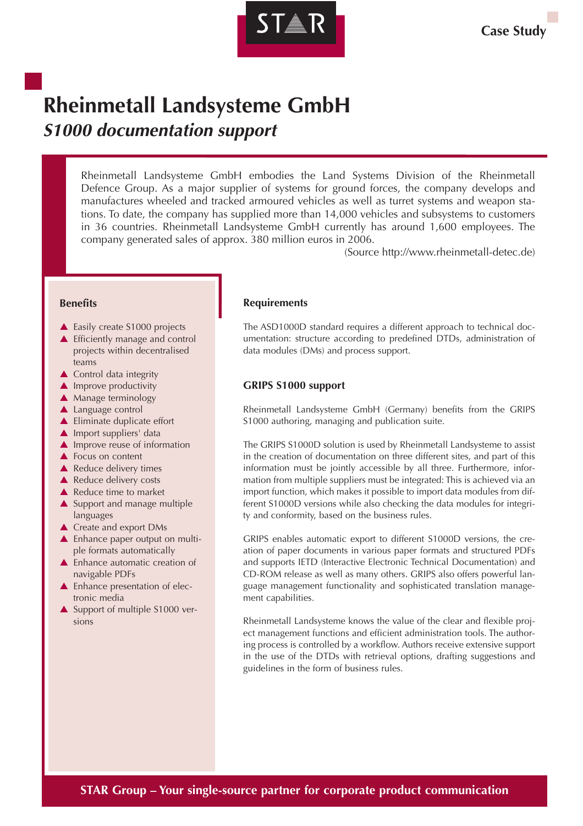

# **Rheinmetall Landsysteme GmbH S1000 documentation support**

Rheinmetall Landsysteme GmbH embodies the Land Systems Division of the Rheinmetall Defence Group. As a major supplier of systems for ground forces, the company develops and manufactures wheeled and tracked armoured vehicles as well as turret systems and weapon stations. To date, the company has supplied more than 14,000 vehicles and subsystems to customers in 36 countries. Rheinmetall Landsysteme GmbH currently has around 1,600 employees. The company generated sales of approx. 380 million euros in 2006.

(Source http://www.rheinmetall-detec.de)

#### **Benefits**

- ▲ Easily create S1000 projects
- ▲ Efficiently manage and control projects within decentralised teams
- **▲ Control data integrity**
- $\blacktriangle$  Improve productivity
- ▲ Manage terminology
- ▲ Language control
- ▲ Eliminate duplicate effort
- $\triangle$  Import suppliers' data
- $\blacktriangle$  Improve reuse of information
- ▲ Focus on content
- **▲ Reduce delivery times**
- ▲ Reduce delivery costs
- ▲ Reduce time to market
- ▲ Support and manage multiple languages
- ▲ Create and export DMs
- ▲ Enhance paper output on multiple formats automatically
- ▲ Enhance automatic creation of navigable PDFs
- ▲ Enhance presentation of electronic media
- Support of multiple S1000 versions

### **Requirements**

The ASD1000D standard requires a different approach to technical documentation: structure according to predefined DTDs, administration of data modules (DMs) and process support.

## **GRIPS S1000 support**

Rheinmetall Landsysteme GmbH (Germany) benefits from the GRIPS S1000 authoring, managing and publication suite.

The GRIPS S1000D solution is used by Rheinmetall Landsysteme to assist in the creation of documentation on three different sites, and part of this information must be jointly accessible by all three. Furthermore, information from multiple suppliers must be integrated: This is achieved via an import function, which makes it possible to import data modules from different S1000D versions while also checking the data modules for integrity and conformity, based on the business rules.

GRIPS enables automatic export to different S1000D versions, the creation of paper documents in various paper formats and structured PDFs and supports IETD (Interactive Electronic Technical Documentation) and CD-ROM release as well as many others. GRIPS also offers powerful language management functionality and sophisticated translation management capabilities.

Rheinmetall Landsysteme knows the value of the clear and flexible project management functions and efficient administration tools. The authoring process is controlled by a workflow. Authors receive extensive support in the use of the DTDs with retrieval options, drafting suggestions and guidelines in the form of business rules.